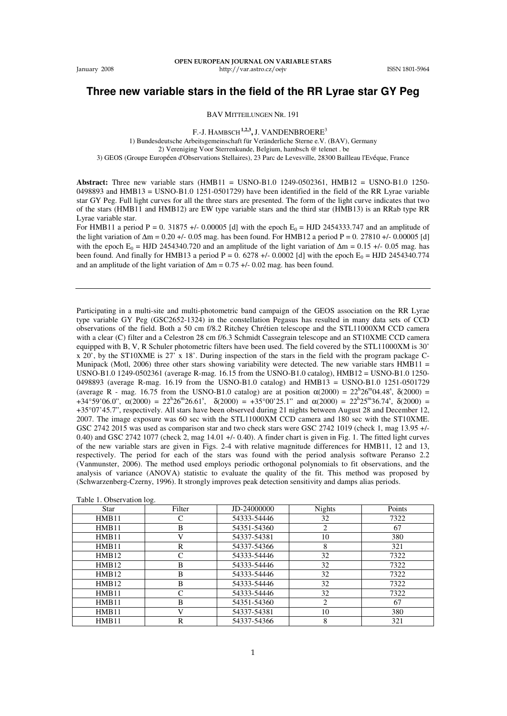## **Three new variable stars in the field of the RR Lyrae star GY Peg**

BAV MITTEILUNGEN NR. 191

F.-J. HAMBSCH**1,2,3,** J. VANDENBROERE<sup>3</sup> 1) Bundesdeutsche Arbeitsgemeinschaft für Veränderliche Sterne e.V. (BAV), Germany 2) Vereniging Voor Sterrenkunde, Belgium, hambsch @ telenet . be 3) GEOS (Groupe Européen d'Observations Stellaires), 23 Parc de Levesville, 28300 Baîlleau l'Evéque, France

**Abstract:** Three new variable stars (HMB11 = USNO-B1.0 1249-0502361, HMB12 = USNO-B1.0 1250-  $0498893$  and HMB13 = USNO-B1.0 1251-0501729) have been identified in the field of the RR Lyrae variable star GY Peg. Full light curves for all the three stars are presented. The form of the light curve indicates that two of the stars (HMB11 and HMB12) are EW type variable stars and the third star (HMB13) is an RRab type RR Lyrae variable star.

For HMB11 a period P = 0. 31875 +/- 0.00005 [d] with the epoch  $E_0 = HJD$  2454333.747 and an amplitude of the light variation of  $\Delta m = 0.20 +/-0.05$  mag. has been found. For HMB12 a period P = 0. 27810 +/- 0.00005 [d] with the epoch E<sub>0</sub> = HJD 2454340.720 and an amplitude of the light variation of  $\Delta m = 0.15 +10^{-10}$  mag. has been found. And finally for HMB13 a period P = 0. 6278 +/- 0.0002 [d] with the epoch  $E_0 = HJD 2454340.774$ and an amplitude of the light variation of  $\Delta m = 0.75 + 0.02$  mag. has been found.

Participating in a multi-site and multi-photometric band campaign of the GEOS association on the RR Lyrae type variable GY Peg (GSC2652-1324) in the constellation Pegasus has resulted in many data sets of CCD observations of the field. Both a 50 cm f/8.2 Ritchey Chrétien telescope and the STL11000XM CCD camera with a clear (C) filter and a Celestron 28 cm f/6.3 Schmidt Cassegrain telescope and an ST10XME CCD camera equipped with B, V, R Schuler photometric filters have been used. The field covered by the STL11000XM is 30' x 20', by the ST10XME is 27' x 18'. During inspection of the stars in the field with the program package C-Munipack (Motl, 2006) three other stars showing variability were detected. The new variable stars  $HMB11 =$ USNO-B1.0 1249-0502361 (average R-mag. 16.15 from the USNO-B1.0 catalog), HMB12 = USNO-B1.0 1250- 0498893 (average R-mag. 16.19 from the USNO-B1.0 catalog) and HMB13 = USNO-B1.0 1251-0501729 (average R - mag. 16.75 from the USNO-B1.0 catalog) are at position  $\alpha(2000) = 22^{h}26^{m}04.48^s$ ,  $\delta(2000) =$ +34°59'06.0",  $\alpha$ (2000) = 22<sup>h</sup>26<sup>m</sup>26.61<sup>s</sup>,  $\delta$ (2000) = +35°00'25.1" and  $\alpha$ (2000) = 22<sup>h</sup>25<sup>m</sup>36.74<sup>s</sup>,  $\delta$ (2000) = +35°07'45.7", respectively. All stars have been observed during 21 nights between August 28 and December 12, 2007. The image exposure was 60 sec with the STL11000XM CCD camera and 180 sec with the ST10XME. GSC 2742 2015 was used as comparison star and two check stars were GSC 2742 1019 (check 1, mag 13.95 +/- 0.40) and GSC 2742 1077 (check 2, mag 14.01 +/- 0.40). A finder chart is given in Fig. 1. The fitted light curves of the new variable stars are given in Figs. 2-4 with relative magnitude differences for HMB11, 12 and 13, respectively. The period for each of the stars was found with the period analysis software Peranso 2.2 (Vanmunster, 2006). The method used employs periodic orthogonal polynomials to fit observations, and the analysis of variance (ANOVA) statistic to evaluate the quality of the fit. This method was proposed by (Schwarzenberg-Czerny, 1996). It strongly improves peak detection sensitivity and damps alias periods.

| Star         | Filter       | JD-24000000 | Nights         | Points |
|--------------|--------------|-------------|----------------|--------|
| HMB11        | C            | 54333-54446 | 32             | 7322   |
| <b>HMB11</b> | B            | 54351-54360 | $\overline{c}$ | 67     |
| HMB11        | V            | 54337-54381 | 10             | 380    |
| HMB11        | $\mathbb{R}$ | 54337-54366 | 8              | 321    |
| <b>HMB12</b> | C            | 54333-54446 | 32             | 7322   |
| <b>HMB12</b> | B            | 54333-54446 | 32             | 7322   |
| <b>HMB12</b> | B            | 54333-54446 | 32             | 7322   |
| <b>HMB12</b> | B            | 54333-54446 | 32             | 7322   |
| HMB11        | C            | 54333-54446 | 32             | 7322   |
| HMB11        | B            | 54351-54360 | 2              | 67     |
| HMB11        | V            | 54337-54381 | 10             | 380    |
| HMB11        | $\mathbb{R}$ | 54337-54366 | 8              | 321    |

|  | Table 1. Observation log. |  |  |
|--|---------------------------|--|--|
|--|---------------------------|--|--|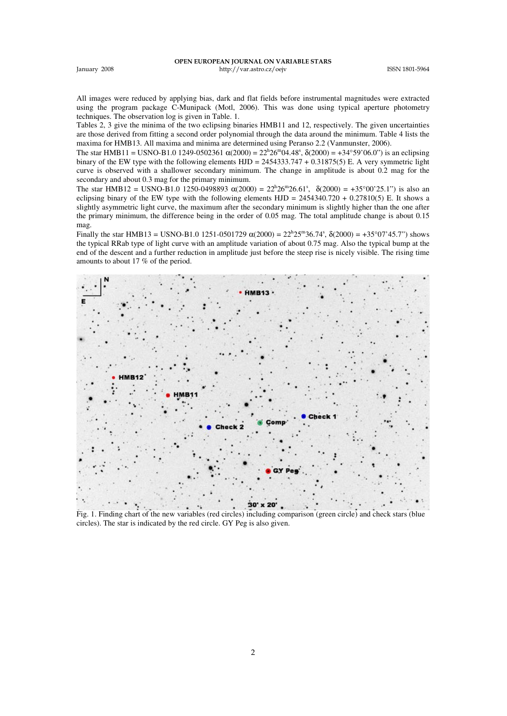All images were reduced by applying bias, dark and flat fields before instrumental magnitudes were extracted using the program package C-Munipack (Motl, 2006). This was done using typical aperture photometry techniques. The observation log is given in Table. 1.

Tables 2, 3 give the minima of the two eclipsing binaries HMB11 and 12, respectively. The given uncertainties are those derived from fitting a second order polynomial through the data around the minimum. Table 4 lists the maxima for HMB13. All maxima and minima are determined using Peranso 2.2 (Vanmunster, 2006).

The star HMB11 = USNO-B1.0 1249-0502361  $\alpha(2000) = 22^{h}26^{m}04.48^s$ ,  $\delta(2000) = +34^{\circ}59'06.0"$ ) is an eclipsing binary of the EW type with the following elements  $HJD = 2454333.747 + 0.31875(5)$  E. A very symmetric light curve is observed with a shallower secondary minimum. The change in amplitude is about 0.2 mag for the secondary and about 0.3 mag for the primary minimum.

The star HMB12 = USNO-B1.0 1250-0498893  $\alpha(2000) = 22^{h}26^{m}26.61^{s}$ ,  $\delta(2000) = +35^{\circ}00^{\circ}25.1^{\circ}$  is also an eclipsing binary of the EW type with the following elements  $HJD = 2454340.720 + 0.27810(5)$  E. It shows a slightly asymmetric light curve, the maximum after the secondary minimum is slightly higher than the one after the primary minimum, the difference being in the order of 0.05 mag. The total amplitude change is about 0.15 mag.

Finally the star HMB13 = USNO-B1.0 1251-0501729  $α(2000) = 22<sup>h</sup>25<sup>m</sup>36.74<sup>s</sup>$ ,  $δ(2000) = +35°07'45.7"$ ) shows the typical RRab type of light curve with an amplitude variation of about 0.75 mag. Also the typical bump at the end of the descent and a further reduction in amplitude just before the steep rise is nicely visible. The rising time amounts to about 17 % of the period.



Fig. 1. Finding chart of the new variables (red circles) including comparison (green circle) and check stars (blue circles). The star is indicated by the red circle. GY Peg is also given.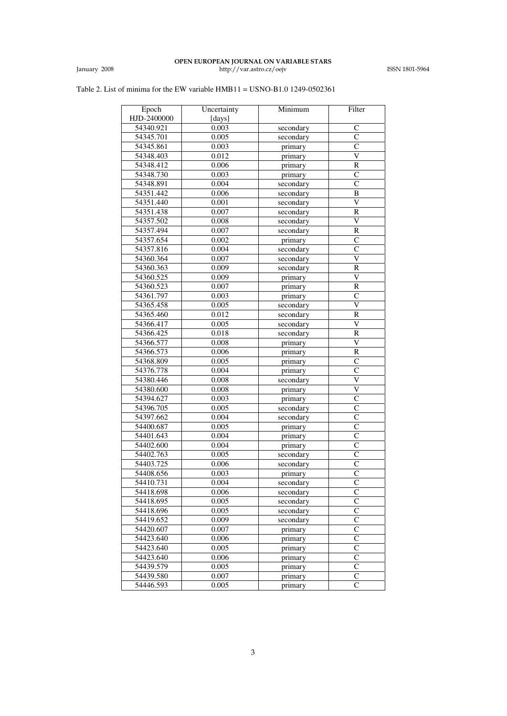## Table 2. List of minima for the EW variable HMB11 = USNO-B1.0 1249-0502361

| Epoch       | Uncertainty | Minimum   | Filter                  |
|-------------|-------------|-----------|-------------------------|
| HJD-2400000 | [days]      |           |                         |
| 54340.921   | 0.003       | secondary | $\mathsf{C}$            |
| 54345.701   | 0.005       | secondary | C                       |
| 54345.861   | 0.003       | primary   | $\overline{C}$          |
| 54348.403   | 0.012       | primary   | $\overline{\text{V}}$   |
| 54348.412   |             |           | $\overline{\mathsf{R}}$ |
|             | 0.006       | primary   |                         |
| 54348.730   | 0.003       | primary   | C<br>$\overline{C}$     |
| 54348.891   | 0.004       | secondary |                         |
| 54351.442   | 0.006       | secondary | B                       |
| 54351.440   | 0.001       | secondary | $\overline{\mathsf{V}}$ |
| 54351.438   | 0.007       | secondary | R                       |
| 54357.502   | 0.008       | secondary | $\overline{\mathsf{v}}$ |
| 54357.494   | 0.007       | secondary | $\overline{R}$          |
| 54357.654   | 0.002       | primary   | C                       |
| 54357.816   | 0.004       | secondary | $\overline{\rm c}$      |
| 54360.364   | 0.007       | secondary | $\overline{\rm v}$      |
| 54360.363   | 0.009       | secondary | $\mathbb R$             |
| 54360.525   | 0.009       | primary   | $\overline{\mathsf{v}}$ |
| 54360.523   | 0.007       | primary   | $\overline{\mathbf{R}}$ |
| 54361.797   | 0.003       | primary   | $\overline{C}$          |
| 54365.458   | 0.005       | secondary | V                       |
| 54365.460   | 0.012       | secondary | $\mathbb R$             |
| 54366.417   | 0.005       | secondary | V                       |
| 54366.425   | 0.018       | secondary | $\overline{R}$          |
| 54366.577   | 0.008       | primary   | $\overline{\mathsf{V}}$ |
| 54366.573   | 0.006       | primary   | R                       |
| 54368.809   | 0.005       | primary   | $\overline{C}$          |
| 54376.778   | 0.004       | primary   | $\overline{C}$          |
| 54380.446   | 0.008       | secondary | $\overline{\text{v}}$   |
| 54380.600   | 0.008       | primary   | $\overline{\text{V}}$   |
| 54394.627   | 0.003       | primary   | $\overline{C}$          |
| 54396.705   | 0.005       | secondary | $\overline{\rm c}$      |
| 54397.662   | 0.004       | secondary | $\overline{C}$          |
| 54400.687   | 0.005       | primary   | $\overline{C}$          |
| 54401.643   | 0.004       | primary   | $\overline{C}$          |
| 54402.600   | 0.004       | primary   | $\overline{C}$          |
| 54402.763   | 0.005       | secondary | $\overline{C}$          |
| 54403.725   | 0.006       | secondary | $\overline{c}$          |
| 54408.656   | 0.003       | primary   | $\overline{c}$          |
| 54410.731   | 0.004       | secondary | $\overline{C}$          |
| 54418.698   | 0.006       | secondary | $\overline{C}$          |
| 54418.695   | 0.005       | secondary | $\overline{\rm c}$      |
| 54418.696   | 0.005       | secondary | $\overline{C}$          |
| 54419.652   | 0.009       | secondary | $\overline{C}$          |
| 54420.607   | 0.007       | primary   | $\overline{C}$          |
| 54423.640   | 0.006       | primary   | $\mathbf C$             |
| 54423.640   | 0.005       | primary   | $\overline{C}$          |
| 54423.640   | 0.006       | primary   | $\overline{C}$          |
| 54439.579   | 0.005       | primary   | $\overline{C}$          |
| 54439.580   | 0.007       | primary   | $\overline{C}$          |
| 54446.593   | 0.005       | primary   | $\bar{\text{c}}$        |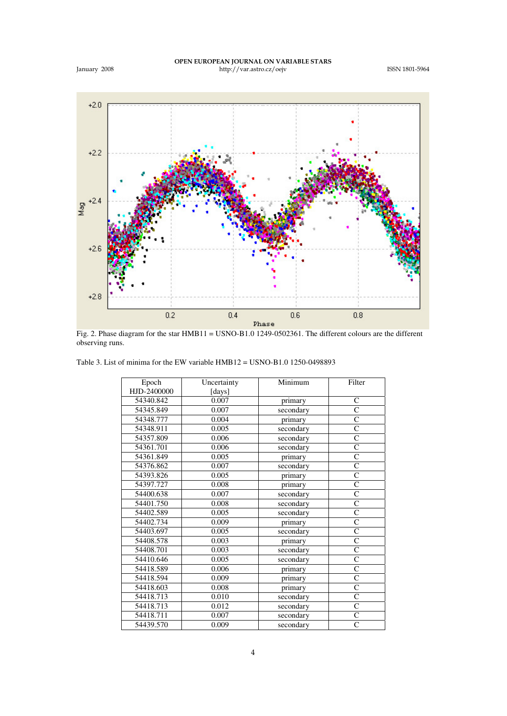

Fig. 2. Phase diagram for the star HMB11 = USNO-B1.0 1249-0502361. The different colours are the different observing runs.

|  | Table 3. List of minima for the EW variable $HMB12 = USNO-B1.0$ 1250-0498893 |
|--|------------------------------------------------------------------------------|
|--|------------------------------------------------------------------------------|

| Epoch       | Uncertainty | Minimum   | Filter             |
|-------------|-------------|-----------|--------------------|
| HJD-2400000 | [days]      |           |                    |
| 54340.842   | 0.007       | primary   | C                  |
| 54345.849   | 0.007       | secondary | $\overline{\rm c}$ |
| 54348.777   | 0.004       | primary   | $\overline{C}$     |
| 54348.911   | 0.005       | secondary | $\mathsf{C}$       |
| 54357.809   | 0.006       | secondary | Ċ                  |
| 54361.701   | 0.006       | secondary | $\overline{C}$     |
| 54361.849   | 0.005       | primary   | $\mathsf{C}$       |
| 54376.862   | 0.007       | secondary | $\mathsf{C}$       |
| 54393.826   | 0.005       | primary   | $\overline{C}$     |
| 54397.727   | 0.008       | primary   | $\overline{C}$     |
| 54400.638   | 0.007       | secondary | $\overline{C}$     |
| 54401.750   | 0.008       | secondary | $\overline{C}$     |
| 54402.589   | 0.005       | secondary | $\overline{C}$     |
| 54402.734   | 0.009       | primary   | C                  |
| 54403.697   | 0.005       | secondary | $\overline{C}$     |
| 54408.578   | 0.003       | primary   | $\overline{C}$     |
| 54408.701   | 0.003       | secondary | $\overline{C}$     |
| 54410.646   | 0.005       | secondary | $\mathsf{C}$       |
| 54418.589   | 0.006       | primary   | $\overline{C}$     |
| 54418.594   | 0.009       | primary   | $\overline{C}$     |
| 54418.603   | 0.008       | primary   | C                  |
| 54418.713   | 0.010       | secondary | $\overline{C}$     |
| 54418.713   | 0.012       | secondary | Ċ                  |
| 54418.711   | 0.007       | secondary | $\overline{C}$     |
| 54439.570   | 0.009       | secondary | $\mathbf C$        |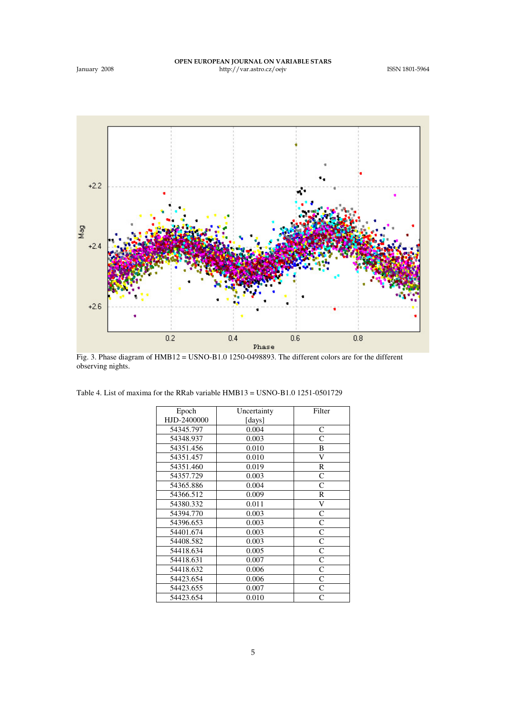

Fig. 3. Phase diagram of HMB12 = USNO-B1.0 1250-0498893. The different colors are for the different observing nights.

| Epoch       | Uncertainty | Filter |
|-------------|-------------|--------|
| HJD-2400000 | [days]      |        |
| 54345.797   | 0.004       | C      |
| 54348.937   | 0.003       | Ċ      |
| 54351.456   | 0.010       | B      |
| 54351.457   | 0.010       | V      |
| 54351.460   | 0.019       | R      |
| 54357.729   | 0.003       | C      |
| 54365.886   | 0.004       | Ċ      |
| 54366.512   | 0.009       | R      |
| 54380.332   | 0.011       | V      |
| 54394.770   | 0.003       | C      |
| 54396.653   | 0.003       | C      |
| 54401.674   | 0.003       | Ċ      |
| 54408.582   | 0.003       | C      |
| 54418.634   | 0.005       | C      |
| 54418.631   | 0.007       | C      |
| 54418.632   | 0.006       | C      |
| 54423.654   | 0.006       | C      |
| 54423.655   | 0.007       | C      |
| 54423.654   | 0.010       | Ċ      |
|             |             |        |

'